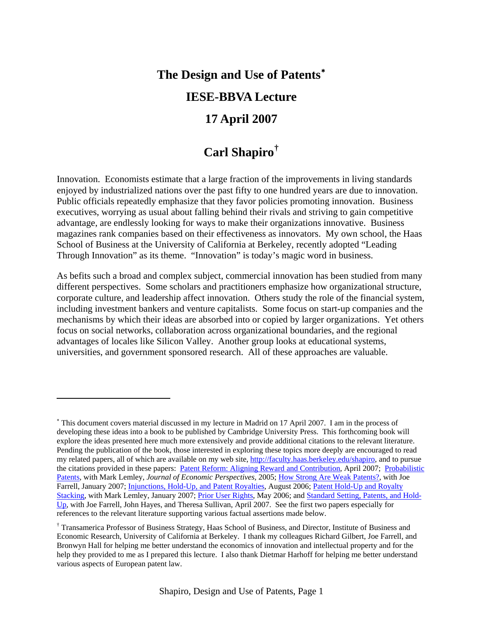# **The Design and Use of Patents**[∗](#page-0-0) **IESE-BBVA Lecture 17 April 2007**

## **Carl Shapiro[†](#page-0-1)**

Innovation. Economists estimate that a large fraction of the improvements in living standards enjoyed by industrialized nations over the past fifty to one hundred years are due to innovation. Public officials repeatedly emphasize that they favor policies promoting innovation. Business executives, worrying as usual about falling behind their rivals and striving to gain competitive advantage, are endlessly looking for ways to make their organizations innovative. Business magazines rank companies based on their effectiveness as innovators. My own school, the Haas School of Business at the University of California at Berkeley, recently adopted "Leading Through Innovation" as its theme. "Innovation" is today's magic word in business.

As befits such a broad and complex subject, commercial innovation has been studied from many different perspectives. Some scholars and practitioners emphasize how organizational structure, corporate culture, and leadership affect innovation. Others study the role of the financial system, including investment bankers and venture capitalists. Some focus on start-up companies and the mechanisms by which their ideas are absorbed into or copied by larger organizations. Yet others focus on social networks, collaboration across organizational boundaries, and the regional advantages of locales like Silicon Valley. Another group looks at educational systems, universities, and government sponsored research. All of these approaches are valuable.

<span id="page-0-0"></span><sup>∗</sup> This document covers material discussed in my lecture in Madrid on 17 April 2007. I am in the process of developing these ideas into a book to be published by Cambridge University Press. This forthcoming book will explore the ideas presented here much more extensively and provide additional citations to the relevant literature. Pending the publication of the book, those interested in exploring these topics more deeply are encouraged to read my related papers, all of which are available on my web site,<http://faculty.haas.berkeley.edu/shapiro>, and to pursue the citations provided in these papers: [Patent Reform: Aligning Reward and Contribution](http://faculty.haas.berkeley.edu/shapiro/align.pdf), April 2007; [Probabilistic](http://faculty.haas.berkeley.edu/shapiro/patents.pdf)  [Patents,](http://faculty.haas.berkeley.edu/shapiro/patents.pdf) with Mark Lemley, *Journal of Economic Perspectives,* 2005; [How Strong Are Weak Patents?,](http://faculty.haas.berkeley.edu/shapiro/weak.pdf) with Joe Farrell, January 2007; *Injunctions*, Hold-Up, and Patent Royalties, August 2006; Patent Hold-Up and Royalty [Stacking,](http://faculty.haas.berkeley.edu/shapiro/stacking.pdf) with Mark Lemley, January 2007; [Prior User Rights,](http://faculty.haas.berkeley.edu/shapiro/prior.pdf) May 2006; and [Standard Setting, Patents, and Hold-](http://faculty.haas.berkeley.edu/shapiro/standards2007.pdf)[Up](http://faculty.haas.berkeley.edu/shapiro/standards2007.pdf), with Joe Farrell, John Hayes, and Theresa Sullivan, April 2007. See the first two papers especially for references to the relevant literature supporting various factual assertions made below.

<span id="page-0-1"></span><sup>†</sup> Transamerica Professor of Business Strategy, Haas School of Business, and Director, Institute of Business and Economic Research, University of California at Berkeley. I thank my colleagues Richard Gilbert, Joe Farrell, and Bronwyn Hall for helping me better understand the economics of innovation and intellectual property and for the help they provided to me as I prepared this lecture. I also thank Dietmar Harhoff for helping me better understand various aspects of European patent law.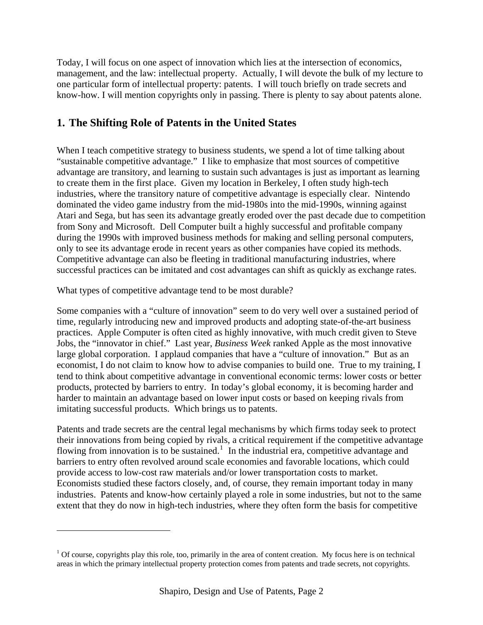Today, I will focus on one aspect of innovation which lies at the intersection of economics, management, and the law: intellectual property. Actually, I will devote the bulk of my lecture to one particular form of intellectual property: patents. I will touch briefly on trade secrets and know-how. I will mention copyrights only in passing. There is plenty to say about patents alone.

### **1. The Shifting Role of Patents in the United States**

When I teach competitive strategy to business students, we spend a lot of time talking about "sustainable competitive advantage." I like to emphasize that most sources of competitive advantage are transitory, and learning to sustain such advantages is just as important as learning to create them in the first place. Given my location in Berkeley, I often study high-tech industries, where the transitory nature of competitive advantage is especially clear. Nintendo dominated the video game industry from the mid-1980s into the mid-1990s, winning against Atari and Sega, but has seen its advantage greatly eroded over the past decade due to competition from Sony and Microsoft. Dell Computer built a highly successful and profitable company during the 1990s with improved business methods for making and selling personal computers, only to see its advantage erode in recent years as other companies have copied its methods. Competitive advantage can also be fleeting in traditional manufacturing industries, where successful practices can be imitated and cost advantages can shift as quickly as exchange rates.

What types of competitive advantage tend to be most durable?

 $\overline{a}$ 

Some companies with a "culture of innovation" seem to do very well over a sustained period of time, regularly introducing new and improved products and adopting state-of-the-art business practices. Apple Computer is often cited as highly innovative, with much credit given to Steve Jobs, the "innovator in chief." Last year, *Business Week* ranked Apple as the most innovative large global corporation. I applaud companies that have a "culture of innovation." But as an economist, I do not claim to know how to advise companies to build one. True to my training, I tend to think about competitive advantage in conventional economic terms: lower costs or better products, protected by barriers to entry. In today's global economy, it is becoming harder and harder to maintain an advantage based on lower input costs or based on keeping rivals from imitating successful products. Which brings us to patents.

Patents and trade secrets are the central legal mechanisms by which firms today seek to protect their innovations from being copied by rivals, a critical requirement if the competitive advantage flowing from innovation is to be sustained.<sup>[1](#page-1-0)</sup> In the industrial era, competitive advantage and barriers to entry often revolved around scale economies and favorable locations, which could provide access to low-cost raw materials and/or lower transportation costs to market. Economists studied these factors closely, and, of course, they remain important today in many industries. Patents and know-how certainly played a role in some industries, but not to the same extent that they do now in high-tech industries, where they often form the basis for competitive

<span id="page-1-0"></span> $1$  Of course, copyrights play this role, too, primarily in the area of content creation. My focus here is on technical areas in which the primary intellectual property protection comes from patents and trade secrets, not copyrights.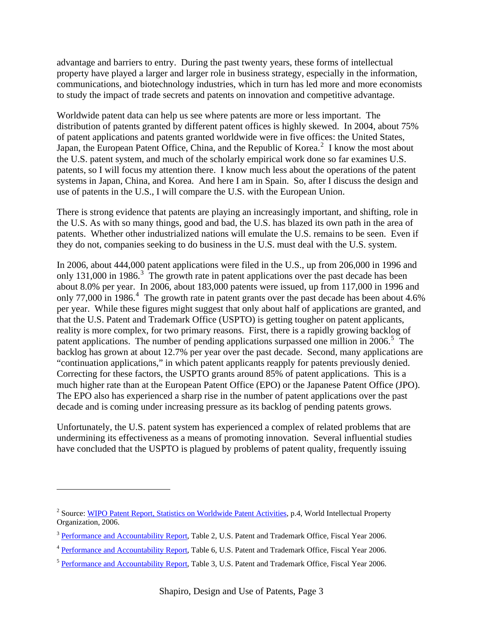advantage and barriers to entry. During the past twenty years, these forms of intellectual property have played a larger and larger role in business strategy, especially in the information, communications, and biotechnology industries, which in turn has led more and more economists to study the impact of trade secrets and patents on innovation and competitive advantage.

Worldwide patent data can help us see where patents are more or less important. The distribution of patents granted by different patent offices is highly skewed. In 2004, about 75% of patent applications and patents granted worldwide were in five offices: the United States, Japan, the European Patent Office, China, and the Republic of Korea.<sup>[2](#page-2-0)</sup> I know the most about the U.S. patent system, and much of the scholarly empirical work done so far examines U.S. patents, so I will focus my attention there. I know much less about the operations of the patent systems in Japan, China, and Korea. And here I am in Spain. So, after I discuss the design and use of patents in the U.S., I will compare the U.S. with the European Union.

There is strong evidence that patents are playing an increasingly important, and shifting, role in the U.S. As with so many things, good and bad, the U.S. has blazed its own path in the area of patents. Whether other industrialized nations will emulate the U.S. remains to be seen. Even if they do not, companies seeking to do business in the U.S. must deal with the U.S. system.

In 2006, about 444,000 patent applications were filed in the U.S., up from 206,000 in 1996 and only 1[3](#page-2-1)1,000 in 1986.<sup>3</sup> The growth rate in patent applications over the past decade has been about 8.0% per year. In 2006, about 183,000 patents were issued, up from 117,000 in 1996 and only 77,000 in 1986.<sup>[4](#page-2-2)</sup> The growth rate in patent grants over the past decade has been about 4.6% per year. While these figures might suggest that only about half of applications are granted, and that the U.S. Patent and Trademark Office (USPTO) is getting tougher on patent applicants, reality is more complex, for two primary reasons. First, there is a rapidly growing backlog of patent applications. The number of pending applications surpassed one million in 2006.<sup>[5](#page-2-3)</sup> The backlog has grown at about 12.7% per year over the past decade. Second, many applications are "continuation applications," in which patent applicants reapply for patents previously denied. Correcting for these factors, the USPTO grants around 85% of patent applications. This is a much higher rate than at the European Patent Office (EPO) or the Japanese Patent Office (JPO). The EPO also has experienced a sharp rise in the number of patent applications over the past decade and is coming under increasing pressure as its backlog of pending patents grows.

Unfortunately, the U.S. patent system has experienced a complex of related problems that are undermining its effectiveness as a means of promoting innovation. Several influential studies have concluded that the USPTO is plagued by problems of patent quality, frequently issuing

<span id="page-2-0"></span><sup>&</sup>lt;sup>2</sup> Source: [WIPO Patent Report, Statistics on Worldwide Patent Activities](http://www.wipo.int/ipstats/en/statistics/patents), p.4, World Intellectual Property Organization, 2006.

<span id="page-2-1"></span><sup>&</sup>lt;sup>3</sup> [Performance and Accountability Report,](http://www.uspto.gov/web/offices/com/annual/index.html) Table 2, U.S. Patent and Trademark Office, Fiscal Year 2006.

<span id="page-2-2"></span><sup>4</sup> [Performance and Accountability Report,](http://www.uspto.gov/web/offices/com/annual/index.html) Table 6, U.S. Patent and Trademark Office, Fiscal Year 2006.

<span id="page-2-3"></span><sup>&</sup>lt;sup>5</sup> [Performance and Accountability Report,](http://www.uspto.gov/web/offices/com/annual/index.html) Table 3, U.S. Patent and Trademark Office, Fiscal Year 2006.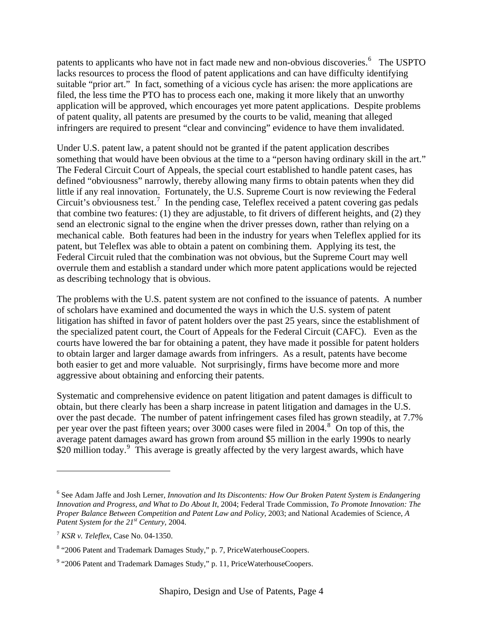patents to applicants who have not in fact made new and non-obvious discoveries.<sup>[6](#page-3-0)</sup> The USPTO lacks resources to process the flood of patent applications and can have difficulty identifying suitable "prior art." In fact, something of a vicious cycle has arisen: the more applications are filed, the less time the PTO has to process each one, making it more likely that an unworthy application will be approved, which encourages yet more patent applications. Despite problems of patent quality, all patents are presumed by the courts to be valid, meaning that alleged infringers are required to present "clear and convincing" evidence to have them invalidated.

Under U.S. patent law, a patent should not be granted if the patent application describes something that would have been obvious at the time to a "person having ordinary skill in the art." The Federal Circuit Court of Appeals, the special court established to handle patent cases, has defined "obviousness" narrowly, thereby allowing many firms to obtain patents when they did little if any real innovation. Fortunately, the U.S. Supreme Court is now reviewing the Federal Circuit's obviousness test.<sup>[7](#page-3-1)</sup> In the pending case, Teleflex received a patent covering gas pedals that combine two features: (1) they are adjustable, to fit drivers of different heights, and (2) they send an electronic signal to the engine when the driver presses down, rather than relying on a mechanical cable. Both features had been in the industry for years when Teleflex applied for its patent, but Teleflex was able to obtain a patent on combining them. Applying its test, the Federal Circuit ruled that the combination was not obvious, but the Supreme Court may well overrule them and establish a standard under which more patent applications would be rejected as describing technology that is obvious.

The problems with the U.S. patent system are not confined to the issuance of patents. A number of scholars have examined and documented the ways in which the U.S. system of patent litigation has shifted in favor of patent holders over the past 25 years, since the establishment of the specialized patent court, the Court of Appeals for the Federal Circuit (CAFC). Even as the courts have lowered the bar for obtaining a patent, they have made it possible for patent holders to obtain larger and larger damage awards from infringers. As a result, patents have become both easier to get and more valuable. Not surprisingly, firms have become more and more aggressive about obtaining and enforcing their patents.

Systematic and comprehensive evidence on patent litigation and patent damages is difficult to obtain, but there clearly has been a sharp increase in patent litigation and damages in the U.S. over the past decade. The number of patent infringement cases filed has grown steadily, at 7.7% per year over the past fifteen years; over 3000 cases were filed in 2004.<sup>[8](#page-3-2)</sup> On top of this, the average patent damages award has grown from around \$5 million in the early 1990s to nearly \$20 million today.<sup>[9](#page-3-3)</sup> This average is greatly affected by the very largest awards, which have

<span id="page-3-0"></span><sup>&</sup>lt;sup>6</sup> See Adam Jaffe and Josh Lerner, *Innovation and Its Discontents: How Our Broken Patent System is Endangering Innovation and Progress, and What to Do About It*, 2004; Federal Trade Commission, *To Promote Innovation: The Proper Balance Between Competition and Patent Law and Policy*, 2003; and National Academies of Science, *A Patent System for the 21st Century,* 2004.

<span id="page-3-1"></span><sup>7</sup> *KSR v. Teleflex*, Case No. 04-1350.

<span id="page-3-2"></span><sup>&</sup>lt;sup>8</sup> "2006 Patent and Trademark Damages Study," p. 7, PriceWaterhouseCoopers.

<span id="page-3-3"></span><sup>&</sup>lt;sup>9</sup> "2006 Patent and Trademark Damages Study," p. 11, PriceWaterhouseCoopers.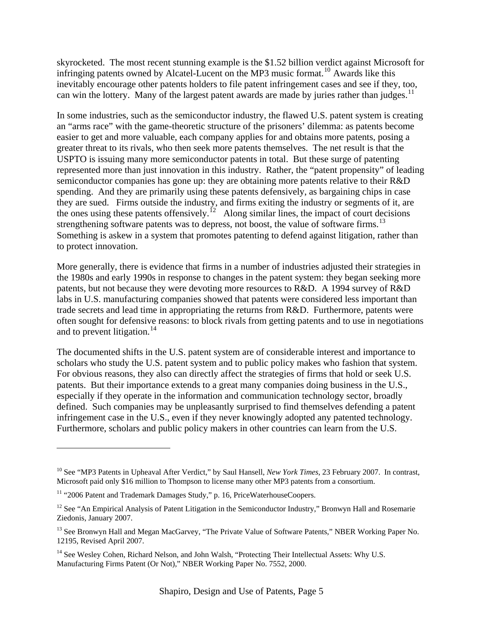skyrocketed. The most recent stunning example is the \$1.52 billion verdict against Microsoft for infringing patents owned by Alcatel-Lucent on the MP3 music format.<sup>[10](#page-4-0)</sup> Awards like this inevitably encourage other patents holders to file patent infringement cases and see if they, too, can win the lottery. Many of the largest patent awards are made by juries rather than judges.<sup>[11](#page-4-1)</sup>

In some industries, such as the semiconductor industry, the flawed U.S. patent system is creating an "arms race" with the game-theoretic structure of the prisoners' dilemma: as patents become easier to get and more valuable, each company applies for and obtains more patents, posing a greater threat to its rivals, who then seek more patents themselves. The net result is that the USPTO is issuing many more semiconductor patents in total. But these surge of patenting represented more than just innovation in this industry. Rather, the "patent propensity" of leading semiconductor companies has gone up: they are obtaining more patents relative to their R&D spending. And they are primarily using these patents defensively, as bargaining chips in case they are sued. Firms outside the industry, and firms exiting the industry or segments of it, are the ones using these patents offensively.<sup>[12](#page-4-2)</sup> Along similar lines, the impact of court decisions strengthening software patents was to depress, not boost, the value of software firms.<sup>[13](#page-4-3)</sup> Something is askew in a system that promotes patenting to defend against litigation, rather than to protect innovation.

More generally, there is evidence that firms in a number of industries adjusted their strategies in the 1980s and early 1990s in response to changes in the patent system: they began seeking more patents, but not because they were devoting more resources to R&D. A 1994 survey of R&D labs in U.S. manufacturing companies showed that patents were considered less important than trade secrets and lead time in appropriating the returns from R&D. Furthermore, patents were often sought for defensive reasons: to block rivals from getting patents and to use in negotiations and to prevent litigation.<sup>[14](#page-4-4)</sup>

The documented shifts in the U.S. patent system are of considerable interest and importance to scholars who study the U.S. patent system and to public policy makes who fashion that system. For obvious reasons, they also can directly affect the strategies of firms that hold or seek U.S. patents. But their importance extends to a great many companies doing business in the U.S., especially if they operate in the information and communication technology sector, broadly defined. Such companies may be unpleasantly surprised to find themselves defending a patent infringement case in the U.S., even if they never knowingly adopted any patented technology. Furthermore, scholars and public policy makers in other countries can learn from the U.S.

<span id="page-4-0"></span><sup>10</sup> See "MP3 Patents in Upheaval After Verdict," by Saul Hansell, *New York Times*, 23 February 2007. In contrast, Microsoft paid only \$16 million to Thompson to license many other MP3 patents from a consortium.

<span id="page-4-1"></span><sup>&</sup>lt;sup>11</sup> "2006 Patent and Trademark Damages Study," p. 16, PriceWaterhouseCoopers.

<span id="page-4-2"></span><sup>&</sup>lt;sup>12</sup> See "An Empirical Analysis of Patent Litigation in the Semiconductor Industry," Bronwyn Hall and Rosemarie Ziedonis, January 2007.

<span id="page-4-3"></span><sup>&</sup>lt;sup>13</sup> See Bronwyn Hall and Megan MacGarvey, "The Private Value of Software Patents," NBER Working Paper No. 12195, Revised April 2007.

<span id="page-4-4"></span><sup>&</sup>lt;sup>14</sup> See Wesley Cohen, Richard Nelson, and John Walsh, "Protecting Their Intellectual Assets: Why U.S. Manufacturing Firms Patent (Or Not)," NBER Working Paper No. 7552, 2000.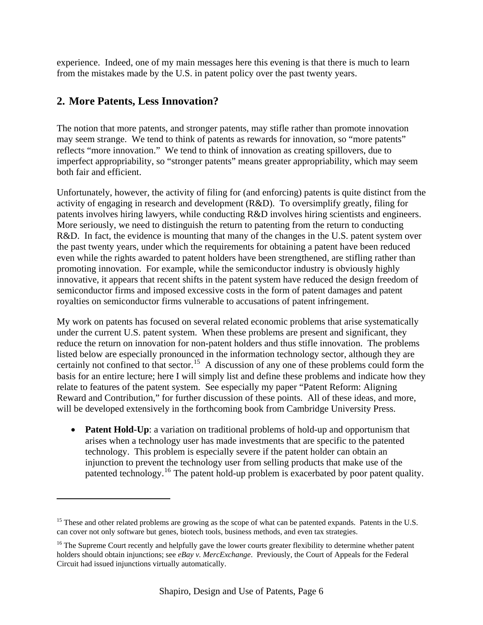experience. Indeed, one of my main messages here this evening is that there is much to learn from the mistakes made by the U.S. in patent policy over the past twenty years.

### **2. More Patents, Less Innovation?**

 $\overline{a}$ 

The notion that more patents, and stronger patents, may stifle rather than promote innovation may seem strange. We tend to think of patents as rewards for innovation, so "more patents" reflects "more innovation." We tend to think of innovation as creating spillovers, due to imperfect appropriability, so "stronger patents" means greater appropriability, which may seem both fair and efficient.

Unfortunately, however, the activity of filing for (and enforcing) patents is quite distinct from the activity of engaging in research and development (R&D). To oversimplify greatly, filing for patents involves hiring lawyers, while conducting R&D involves hiring scientists and engineers. More seriously, we need to distinguish the return to patenting from the return to conducting R&D. In fact, the evidence is mounting that many of the changes in the U.S. patent system over the past twenty years, under which the requirements for obtaining a patent have been reduced even while the rights awarded to patent holders have been strengthened, are stifling rather than promoting innovation. For example, while the semiconductor industry is obviously highly innovative, it appears that recent shifts in the patent system have reduced the design freedom of semiconductor firms and imposed excessive costs in the form of patent damages and patent royalties on semiconductor firms vulnerable to accusations of patent infringement.

My work on patents has focused on several related economic problems that arise systematically under the current U.S. patent system. When these problems are present and significant, they reduce the return on innovation for non-patent holders and thus stifle innovation. The problems listed below are especially pronounced in the information technology sector, although they are certainly not confined to that sector.<sup>[15](#page-5-0)</sup> A discussion of any one of these problems could form the basis for an entire lecture; here I will simply list and define these problems and indicate how they relate to features of the patent system. See especially my paper "Patent Reform: Aligning Reward and Contribution," for further discussion of these points. All of these ideas, and more, will be developed extensively in the forthcoming book from Cambridge University Press.

• **Patent Hold-Up**: a variation on traditional problems of hold-up and opportunism that arises when a technology user has made investments that are specific to the patented technology. This problem is especially severe if the patent holder can obtain an injunction to prevent the technology user from selling products that make use of the patented technology.[16](#page-5-1) The patent hold-up problem is exacerbated by poor patent quality.

<span id="page-5-0"></span><sup>&</sup>lt;sup>15</sup> These and other related problems are growing as the scope of what can be patented expands. Patents in the U.S. can cover not only software but genes, biotech tools, business methods, and even tax strategies.

<span id="page-5-1"></span><sup>&</sup>lt;sup>16</sup> The Supreme Court recently and helpfully gave the lower courts greater flexibility to determine whether patent holders should obtain injunctions; see *eBay v. MercExchange*. Previously, the Court of Appeals for the Federal Circuit had issued injunctions virtually automatically.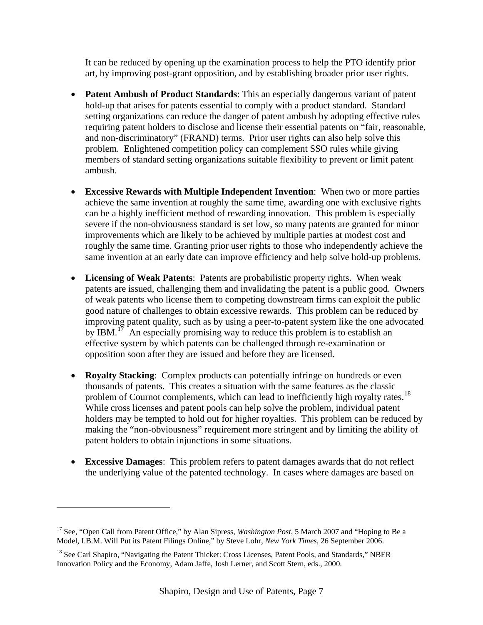It can be reduced by opening up the examination process to help the PTO identify prior art, by improving post-grant opposition, and by establishing broader prior user rights.

- **Patent Ambush of Product Standards**: This an especially dangerous variant of patent hold-up that arises for patents essential to comply with a product standard. Standard setting organizations can reduce the danger of patent ambush by adopting effective rules requiring patent holders to disclose and license their essential patents on "fair, reasonable, and non-discriminatory" (FRAND) terms. Prior user rights can also help solve this problem. Enlightened competition policy can complement SSO rules while giving members of standard setting organizations suitable flexibility to prevent or limit patent ambush.
- **Excessive Rewards with Multiple Independent Invention**: When two or more parties achieve the same invention at roughly the same time, awarding one with exclusive rights can be a highly inefficient method of rewarding innovation. This problem is especially severe if the non-obviousness standard is set low, so many patents are granted for minor improvements which are likely to be achieved by multiple parties at modest cost and roughly the same time. Granting prior user rights to those who independently achieve the same invention at an early date can improve efficiency and help solve hold-up problems.
- **Licensing of Weak Patents**: Patents are probabilistic property rights. When weak patents are issued, challenging them and invalidating the patent is a public good. Owners of weak patents who license them to competing downstream firms can exploit the public good nature of challenges to obtain excessive rewards. This problem can be reduced by improving patent quality, such as by using a peer-to-patent system like the one advocated by IBM.<sup>[17](#page-6-0)</sup> An especially promising way to reduce this problem is to establish an effective system by which patents can be challenged through re-examination or opposition soon after they are issued and before they are licensed.
- **Royalty Stacking**: Complex products can potentially infringe on hundreds or even thousands of patents. This creates a situation with the same features as the classic problem of Cournot complements, which can lead to inefficiently high royalty rates.<sup>[18](#page-6-1)</sup> While cross licenses and patent pools can help solve the problem, individual patent holders may be tempted to hold out for higher royalties. This problem can be reduced by making the "non-obviousness" requirement more stringent and by limiting the ability of patent holders to obtain injunctions in some situations.
- **Excessive Damages**: This problem refers to patent damages awards that do not reflect the underlying value of the patented technology. In cases where damages are based on

<span id="page-6-0"></span><sup>&</sup>lt;sup>17</sup> See, "Open Call from Patent Office," by Alan Sipress, *Washington Post*, 5 March 2007 and "Hoping to Be a Model, I.B.M. Will Put its Patent Filings Online," by Steve Lohr, *New York Times,* 26 September 2006.

<span id="page-6-1"></span><sup>&</sup>lt;sup>18</sup> See Carl Shapiro, "Navigating the Patent Thicket: Cross Licenses, Patent Pools, and Standards," NBER Innovation Policy and the Economy, Adam Jaffe, Josh Lerner, and Scott Stern, eds., 2000.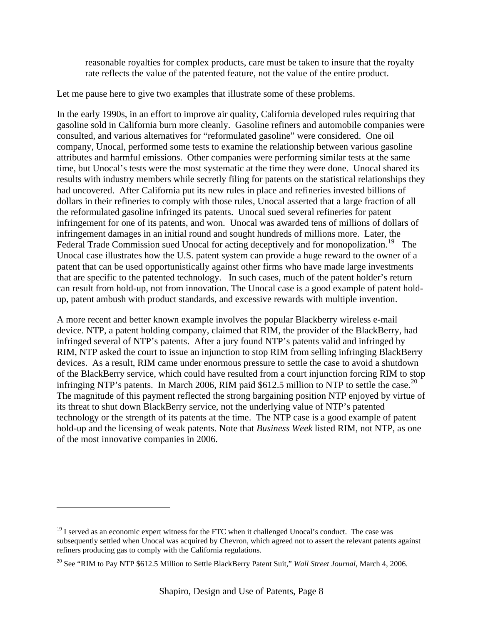reasonable royalties for complex products, care must be taken to insure that the royalty rate reflects the value of the patented feature, not the value of the entire product.

Let me pause here to give two examples that illustrate some of these problems.

In the early 1990s, in an effort to improve air quality, California developed rules requiring that gasoline sold in California burn more cleanly. Gasoline refiners and automobile companies were consulted, and various alternatives for "reformulated gasoline" were considered. One oil company, Unocal, performed some tests to examine the relationship between various gasoline attributes and harmful emissions. Other companies were performing similar tests at the same time, but Unocal's tests were the most systematic at the time they were done. Unocal shared its results with industry members while secretly filing for patents on the statistical relationships they had uncovered. After California put its new rules in place and refineries invested billions of dollars in their refineries to comply with those rules, Unocal asserted that a large fraction of all the reformulated gasoline infringed its patents. Unocal sued several refineries for patent infringement for one of its patents, and won. Unocal was awarded tens of millions of dollars of infringement damages in an initial round and sought hundreds of millions more. Later, the Federal Trade Commission sued Unocal for acting deceptively and for monopolization.<sup>[19](#page-7-0)</sup> The Unocal case illustrates how the U.S. patent system can provide a huge reward to the owner of a patent that can be used opportunistically against other firms who have made large investments that are specific to the patented technology. In such cases, much of the patent holder's return can result from hold-up, not from innovation. The Unocal case is a good example of patent holdup, patent ambush with product standards, and excessive rewards with multiple invention.

A more recent and better known example involves the popular Blackberry wireless e-mail device. NTP, a patent holding company, claimed that RIM, the provider of the BlackBerry, had infringed several of NTP's patents. After a jury found NTP's patents valid and infringed by RIM, NTP asked the court to issue an injunction to stop RIM from selling infringing BlackBerry devices. As a result, RIM came under enormous pressure to settle the case to avoid a shutdown of the BlackBerry service, which could have resulted from a court injunction forcing RIM to stop infringing NTP's patents. In March [20](#page-7-1)06, RIM paid  $$612.5$  million to NTP to settle the case.<sup>20</sup> The magnitude of this payment reflected the strong bargaining position NTP enjoyed by virtue of its threat to shut down BlackBerry service, not the underlying value of NTP's patented technology or the strength of its patents at the time. The NTP case is a good example of patent hold-up and the licensing of weak patents. Note that *Business Week* listed RIM, not NTP, as one of the most innovative companies in 2006.

1

<span id="page-7-0"></span> $19$  I served as an economic expert witness for the FTC when it challenged Unocal's conduct. The case was subsequently settled when Unocal was acquired by Chevron, which agreed not to assert the relevant patents against refiners producing gas to comply with the California regulations.

<span id="page-7-1"></span><sup>20</sup> See "RIM to Pay NTP \$612.5 Million to Settle BlackBerry Patent Suit," *Wall Street Journal,* March 4, 2006.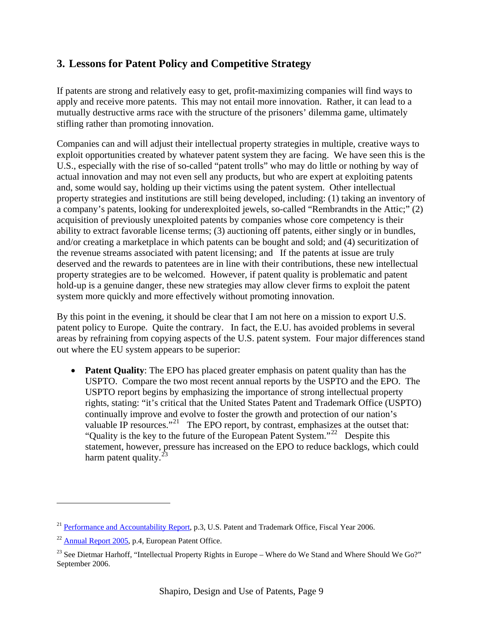#### **3. Lessons for Patent Policy and Competitive Strategy**

If patents are strong and relatively easy to get, profit-maximizing companies will find ways to apply and receive more patents. This may not entail more innovation. Rather, it can lead to a mutually destructive arms race with the structure of the prisoners' dilemma game, ultimately stifling rather than promoting innovation.

Companies can and will adjust their intellectual property strategies in multiple, creative ways to exploit opportunities created by whatever patent system they are facing. We have seen this is the U.S., especially with the rise of so-called "patent trolls" who may do little or nothing by way of actual innovation and may not even sell any products, but who are expert at exploiting patents and, some would say, holding up their victims using the patent system. Other intellectual property strategies and institutions are still being developed, including: (1) taking an inventory of a company's patents, looking for underexploited jewels, so-called "Rembrandts in the Attic;" (2) acquisition of previously unexploited patents by companies whose core competency is their ability to extract favorable license terms; (3) auctioning off patents, either singly or in bundles, and/or creating a marketplace in which patents can be bought and sold; and (4) securitization of the revenue streams associated with patent licensing; and If the patents at issue are truly deserved and the rewards to patentees are in line with their contributions, these new intellectual property strategies are to be welcomed. However, if patent quality is problematic and patent hold-up is a genuine danger, these new strategies may allow clever firms to exploit the patent system more quickly and more effectively without promoting innovation.

By this point in the evening, it should be clear that I am not here on a mission to export U.S. patent policy to Europe. Quite the contrary. In fact, the E.U. has avoided problems in several areas by refraining from copying aspects of the U.S. patent system. Four major differences stand out where the EU system appears to be superior:

• **Patent Quality**: The EPO has placed greater emphasis on patent quality than has the USPTO. Compare the two most recent annual reports by the USPTO and the EPO. The USPTO report begins by emphasizing the importance of strong intellectual property rights, stating: "it's critical that the United States Patent and Trademark Office (USPTO) continually improve and evolve to foster the growth and protection of our nation's valuable IP resources."<sup>[21](#page-8-0)</sup> The EPO report, by contrast, emphasizes at the outset that: "Quality is the key to the future of the European Patent System."[22](#page-8-1) Despite this statement, however, pressure has increased on the EPO to reduce backlogs, which could harm patent quality. $^{23}$  $^{23}$  $^{23}$ 

<span id="page-8-0"></span><sup>&</sup>lt;sup>21</sup> [Performance and Accountability Report,](http://www.uspto.gov/) p.3, U.S. Patent and Trademark Office, Fiscal Year 2006.

<span id="page-8-1"></span><sup>22</sup> [Annual Report 2005,](http://www.epo.org/about-us/office/annual-reports/2005.html) p.4, European Patent Office.

<span id="page-8-2"></span><sup>&</sup>lt;sup>23</sup> See Dietmar Harhoff, "Intellectual Property Rights in Europe – Where do We Stand and Where Should We Go?" September 2006.